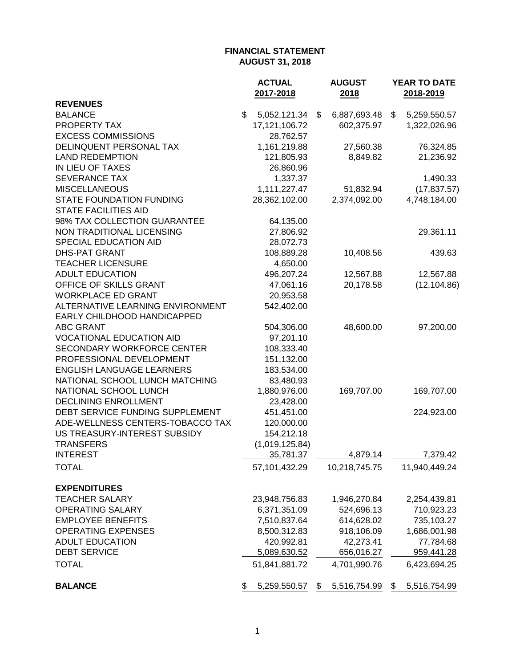|                                   | <b>ACTUAL</b>      | <b>AUGUST</b>      | YEAR TO DATE       |
|-----------------------------------|--------------------|--------------------|--------------------|
| <b>REVENUES</b>                   | 2017-2018          | 2018               | 2018-2019          |
| <b>BALANCE</b>                    | \$<br>5,052,121.34 | \$<br>6,887,693.48 | \$<br>5,259,550.57 |
| PROPERTY TAX                      | 17,121,106.72      | 602,375.97         | 1,322,026.96       |
| <b>EXCESS COMMISSIONS</b>         | 28,762.57          |                    |                    |
| DELINQUENT PERSONAL TAX           | 1,161,219.88       | 27,560.38          | 76,324.85          |
| <b>LAND REDEMPTION</b>            | 121,805.93         | 8,849.82           | 21,236.92          |
| IN LIEU OF TAXES                  | 26,860.96          |                    |                    |
| <b>SEVERANCE TAX</b>              | 1,337.37           |                    | 1,490.33           |
| <b>MISCELLANEOUS</b>              | 1,111,227.47       | 51,832.94          | (17, 837.57)       |
| STATE FOUNDATION FUNDING          | 28,362,102.00      | 2,374,092.00       | 4,748,184.00       |
| <b>STATE FACILITIES AID</b>       |                    |                    |                    |
| 98% TAX COLLECTION GUARANTEE      | 64,135.00          |                    |                    |
| NON TRADITIONAL LICENSING         | 27,806.92          |                    | 29,361.11          |
| SPECIAL EDUCATION AID             | 28,072.73          |                    |                    |
| <b>DHS-PAT GRANT</b>              | 108,889.28         | 10,408.56          | 439.63             |
| <b>TEACHER LICENSURE</b>          | 4,650.00           |                    |                    |
| <b>ADULT EDUCATION</b>            | 496,207.24         | 12,567.88          | 12,567.88          |
| OFFICE OF SKILLS GRANT            | 47,061.16          | 20,178.58          | (12, 104.86)       |
| <b>WORKPLACE ED GRANT</b>         | 20,953.58          |                    |                    |
| ALTERNATIVE LEARNING ENVIRONMENT  | 542,402.00         |                    |                    |
| EARLY CHILDHOOD HANDICAPPED       |                    |                    |                    |
| <b>ABC GRANT</b>                  | 504,306.00         | 48,600.00          | 97,200.00          |
| <b>VOCATIONAL EDUCATION AID</b>   | 97,201.10          |                    |                    |
| <b>SECONDARY WORKFORCE CENTER</b> | 108,333.40         |                    |                    |
| PROFESSIONAL DEVELOPMENT          | 151,132.00         |                    |                    |
| <b>ENGLISH LANGUAGE LEARNERS</b>  | 183,534.00         |                    |                    |
| NATIONAL SCHOOL LUNCH MATCHING    | 83,480.93          |                    |                    |
| NATIONAL SCHOOL LUNCH             | 1,880,976.00       | 169,707.00         | 169,707.00         |
| <b>DECLINING ENROLLMENT</b>       | 23,428.00          |                    |                    |
| DEBT SERVICE FUNDING SUPPLEMENT   | 451,451.00         |                    | 224,923.00         |
| ADE-WELLNESS CENTERS-TOBACCO TAX  | 120,000.00         |                    |                    |
| US TREASURY-INTEREST SUBSIDY      | 154,212.18         |                    |                    |
| <b>TRANSFERS</b>                  | (1,019,125.84)     |                    |                    |
| <b>INTEREST</b>                   | 35,781.37          | 4,879.14           | 7,379.42           |
| <b>TOTAL</b>                      | 57,101,432.29      | 10,218,745.75      | 11,940,449.24      |
| <b>EXPENDITURES</b>               |                    |                    |                    |
| <b>TEACHER SALARY</b>             | 23,948,756.83      | 1,946,270.84       | 2,254,439.81       |
| <b>OPERATING SALARY</b>           | 6,371,351.09       | 524,696.13         | 710,923.23         |
| <b>EMPLOYEE BENEFITS</b>          | 7,510,837.64       | 614,628.02         | 735,103.27         |
| <b>OPERATING EXPENSES</b>         | 8,500,312.83       | 918,106.09         | 1,686,001.98       |
| <b>ADULT EDUCATION</b>            | 420,992.81         | 42,273.41          | 77,784.68          |
| <b>DEBT SERVICE</b>               | 5,089,630.52       | 656,016.27         | 959,441.28         |
| <b>TOTAL</b>                      | 51,841,881.72      | 4,701,990.76       | 6,423,694.25       |
| <b>BALANCE</b>                    | \$<br>5,259,550.57 | \$<br>5,516,754.99 | \$<br>5,516,754.99 |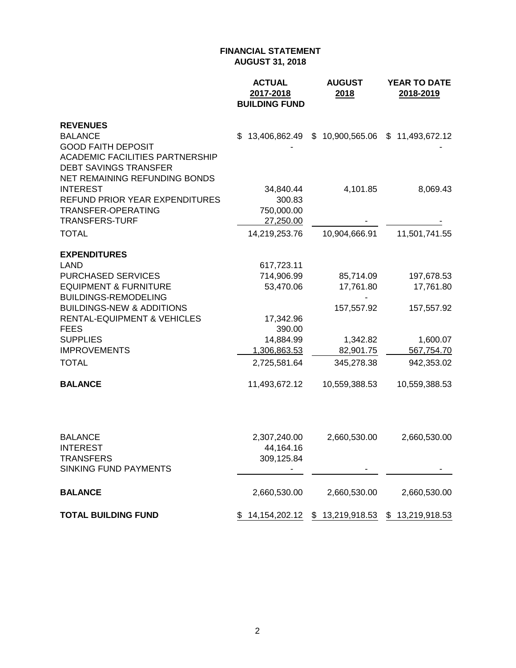|                                                                                | <b>ACTUAL</b><br>2017-2018<br><b>BUILDING FUND</b> | <b>AUGUST</b><br>2018                              | <b>YEAR TO DATE</b><br>2018-2019 |
|--------------------------------------------------------------------------------|----------------------------------------------------|----------------------------------------------------|----------------------------------|
| <b>REVENUES</b>                                                                |                                                    |                                                    |                                  |
| <b>BALANCE</b>                                                                 | \$<br>13,406,862.49                                | \$10,900,565.06                                    | \$11,493,672.12                  |
| <b>GOOD FAITH DEPOSIT</b>                                                      |                                                    |                                                    |                                  |
| <b>ACADEMIC FACILITIES PARTNERSHIP</b><br><b>DEBT SAVINGS TRANSFER</b>         |                                                    |                                                    |                                  |
| NET REMAINING REFUNDING BONDS                                                  |                                                    |                                                    |                                  |
| <b>INTEREST</b>                                                                | 34,840.44                                          | 4,101.85                                           | 8,069.43                         |
| <b>REFUND PRIOR YEAR EXPENDITURES</b>                                          | 300.83                                             |                                                    |                                  |
| TRANSFER-OPERATING                                                             | 750,000.00                                         |                                                    |                                  |
| <b>TRANSFERS-TURF</b>                                                          | 27,250.00                                          |                                                    |                                  |
| <b>TOTAL</b>                                                                   | 14,219,253.76                                      | 10,904,666.91                                      | 11,501,741.55                    |
| <b>EXPENDITURES</b>                                                            |                                                    |                                                    |                                  |
| <b>LAND</b>                                                                    | 617,723.11                                         |                                                    |                                  |
| <b>PURCHASED SERVICES</b>                                                      | 714,906.99                                         | 85,714.09                                          | 197,678.53                       |
| <b>EQUIPMENT &amp; FURNITURE</b>                                               | 53,470.06                                          | 17,761.80                                          | 17,761.80                        |
| <b>BUILDINGS-REMODELING</b>                                                    |                                                    |                                                    |                                  |
| <b>BUILDINGS-NEW &amp; ADDITIONS</b><br><b>RENTAL-EQUIPMENT &amp; VEHICLES</b> |                                                    | 157,557.92                                         | 157,557.92                       |
| <b>FEES</b>                                                                    | 17,342.96<br>390.00                                |                                                    |                                  |
| <b>SUPPLIES</b>                                                                | 14,884.99                                          | 1,342.82                                           | 1,600.07                         |
| <b>IMPROVEMENTS</b>                                                            | 1,306,863.53                                       | 82,901.75                                          | 567,754.70                       |
| <b>TOTAL</b>                                                                   | 2,725,581.64                                       | 345,278.38                                         | 942,353.02                       |
| <b>BALANCE</b>                                                                 | 11,493,672.12                                      | 10,559,388.53                                      | 10,559,388.53                    |
|                                                                                |                                                    |                                                    |                                  |
| <b>BALANCE</b>                                                                 | 2,307,240.00                                       | 2,660,530.00                                       | 2,660,530.00                     |
| <b>INTEREST</b>                                                                | 44,164.16                                          |                                                    |                                  |
| <b>TRANSFERS</b>                                                               | 309,125.84                                         |                                                    |                                  |
| <b>SINKING FUND PAYMENTS</b>                                                   |                                                    |                                                    |                                  |
| <b>BALANCE</b>                                                                 | 2,660,530.00                                       | 2,660,530.00                                       | 2,660,530.00                     |
| <b>TOTAL BUILDING FUND</b>                                                     |                                                    | \$ 14,154,202.12 \$ 13,219,918.53 \$ 13,219,918.53 |                                  |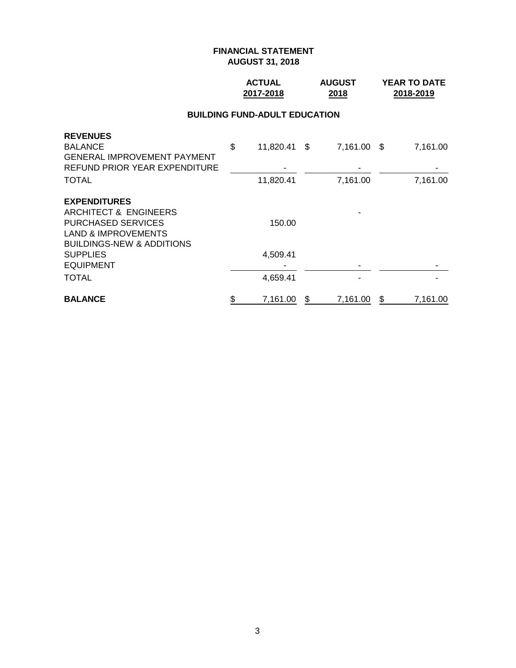## **ACTUAL AUGUST YEAR TO DATE 2017-2018 2018 2018-2019**

#### **BUILDING FUND-ADULT EDUCATION**

| <b>REVENUES</b>                      |                    |                |   |          |
|--------------------------------------|--------------------|----------------|---|----------|
| <b>BALANCE</b>                       | \$<br>11,820.41 \$ | 7,161.00 \$    |   | 7,161.00 |
| <b>GENERAL IMPROVEMENT PAYMENT</b>   |                    |                |   |          |
| <b>REFUND PRIOR YEAR EXPENDITURE</b> |                    |                |   |          |
| <b>TOTAL</b>                         | 11,820.41          | 7,161.00       |   | 7,161.00 |
| <b>EXPENDITURES</b>                  |                    |                |   |          |
| ARCHITECT & ENGINEERS                |                    |                |   |          |
| <b>PURCHASED SERVICES</b>            | 150.00             |                |   |          |
| <b>LAND &amp; IMPROVEMENTS</b>       |                    |                |   |          |
| <b>BUILDINGS-NEW &amp; ADDITIONS</b> |                    |                |   |          |
| <b>SUPPLIES</b>                      | 4,509.41           |                |   |          |
| <b>EQUIPMENT</b>                     |                    |                |   |          |
| <b>TOTAL</b>                         | 4,659.41           |                |   |          |
| <b>BALANCE</b>                       | \$<br>7,161.00     | \$<br>7,161.00 | S | 7,161.00 |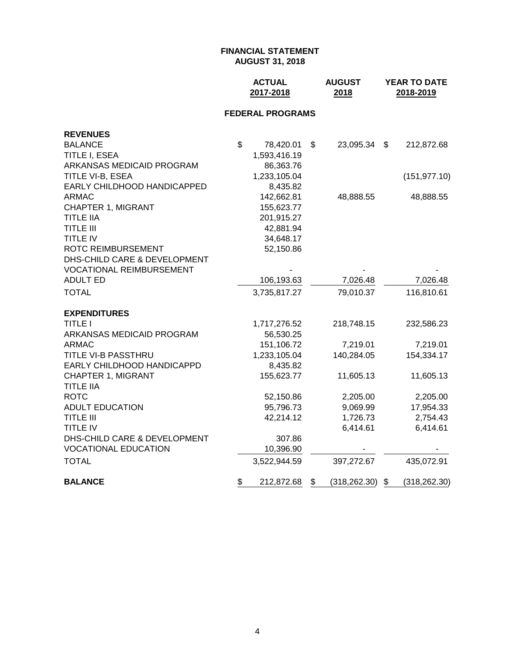|                                      | <b>ACTUAL</b><br>2017-2018 |                         |    | <b>AUGUST</b><br>2018 | YEAR TO DATE<br>2018-2019 |               |  |
|--------------------------------------|----------------------------|-------------------------|----|-----------------------|---------------------------|---------------|--|
|                                      |                            | <b>FEDERAL PROGRAMS</b> |    |                       |                           |               |  |
| <b>REVENUES</b>                      |                            |                         |    |                       |                           |               |  |
| <b>BALANCE</b>                       | \$                         | 78,420.01               | \$ | 23,095.34             | \$                        | 212,872.68    |  |
| TITLE I, ESEA                        |                            | 1,593,416.19            |    |                       |                           |               |  |
| ARKANSAS MEDICAID PROGRAM            |                            | 86,363.76               |    |                       |                           |               |  |
| TITLE VI-B, ESEA                     |                            | 1,233,105.04            |    |                       |                           | (151, 977.10) |  |
| EARLY CHILDHOOD HANDICAPPED          |                            | 8,435.82                |    |                       |                           |               |  |
| <b>ARMAC</b>                         |                            | 142,662.81              |    | 48,888.55             |                           | 48,888.55     |  |
| <b>CHAPTER 1, MIGRANT</b>            |                            | 155,623.77              |    |                       |                           |               |  |
| <b>TITLE IIA</b><br><b>TITLE III</b> |                            | 201,915.27<br>42,881.94 |    |                       |                           |               |  |
| TITLE IV                             |                            | 34,648.17               |    |                       |                           |               |  |
| ROTC REIMBURSEMENT                   |                            | 52,150.86               |    |                       |                           |               |  |
| DHS-CHILD CARE & DEVELOPMENT         |                            |                         |    |                       |                           |               |  |
| <b>VOCATIONAL REIMBURSEMENT</b>      |                            |                         |    |                       |                           |               |  |
| <b>ADULT ED</b>                      |                            | 106,193.63              |    | 7,026.48              |                           | 7,026.48      |  |
| <b>TOTAL</b>                         |                            | 3,735,817.27            |    | 79,010.37             |                           | 116,810.61    |  |
| <b>EXPENDITURES</b>                  |                            |                         |    |                       |                           |               |  |
| <b>TITLE I</b>                       |                            | 1,717,276.52            |    | 218,748.15            |                           | 232,586.23    |  |
| ARKANSAS MEDICAID PROGRAM            |                            | 56,530.25               |    |                       |                           |               |  |
| <b>ARMAC</b>                         |                            | 151,106.72              |    | 7,219.01              |                           | 7,219.01      |  |
| TITLE VI-B PASSTHRU                  |                            | 1,233,105.04            |    | 140,284.05            |                           | 154,334.17    |  |
| EARLY CHILDHOOD HANDICAPPD           |                            | 8,435.82                |    |                       |                           |               |  |
| <b>CHAPTER 1, MIGRANT</b>            |                            | 155,623.77              |    | 11,605.13             |                           | 11,605.13     |  |
| <b>TITLE IIA</b>                     |                            |                         |    |                       |                           |               |  |
| <b>ROTC</b>                          |                            | 52,150.86               |    | 2,205.00              |                           | 2,205.00      |  |
| <b>ADULT EDUCATION</b>               |                            | 95,796.73               |    | 9,069.99              |                           | 17,954.33     |  |
| <b>TITLE III</b>                     |                            | 42,214.12               |    | 1,726.73              |                           | 2,754.43      |  |
| <b>TITLE IV</b>                      |                            |                         |    | 6,414.61              |                           | 6,414.61      |  |
| DHS-CHILD CARE & DEVELOPMENT         |                            | 307.86                  |    |                       |                           |               |  |
| <b>VOCATIONAL EDUCATION</b>          |                            | 10,396.90               |    |                       |                           |               |  |
| <b>TOTAL</b>                         |                            | 3,522,944.59            |    | 397,272.67            |                           | 435,072.91    |  |
| <b>BALANCE</b>                       | \$                         | 212,872.68              | \$ | (318, 262.30)         | $\boldsymbol{\mathsf{S}}$ | (318, 262.30) |  |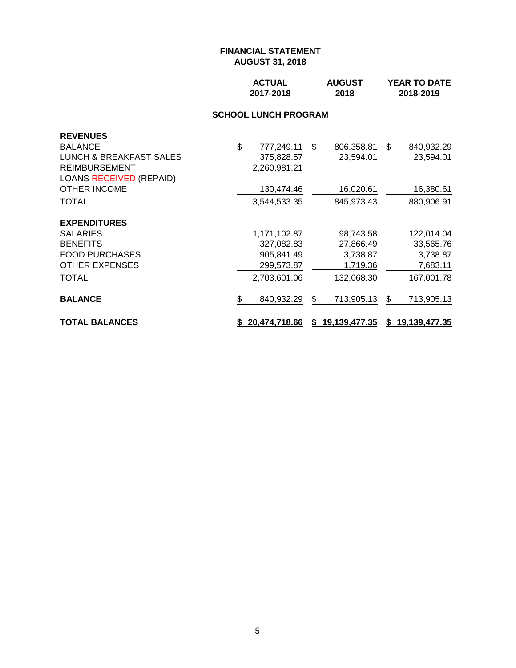| <b>ACTUAL</b> | <b>AUGUST</b> | <b>YEAR TO DATE</b> |
|---------------|---------------|---------------------|
| 2017-2018     | 2018          | 2018-2019           |

#### **SCHOOL LUNCH PROGRAM**

| <b>REVENUES</b><br><b>BALANCE</b><br>LUNCH & BREAKFAST SALES<br><b>REIMBURSEMENT</b><br><b>LOANS RECEIVED (REPAID)</b><br><b>OTHER INCOME</b><br>TOTAL | \$<br>777,249.11<br>375,828.57<br>2,260,981.21<br>130,474.46<br>3,544,533.35 | \$. | 806,358.81<br>23,594.01<br>16,020.61<br>845,973.43           | \$. | 840,932.29<br>23,594.01<br>16,380.61<br>880,906.91            |
|--------------------------------------------------------------------------------------------------------------------------------------------------------|------------------------------------------------------------------------------|-----|--------------------------------------------------------------|-----|---------------------------------------------------------------|
| <b>EXPENDITURES</b><br><b>SALARIES</b><br><b>BENEFITS</b><br><b>FOOD PURCHASES</b><br><b>OTHER EXPENSES</b><br><b>TOTAL</b>                            | 1,171,102.87<br>327,082.83<br>905,841.49<br>299,573.87<br>2,703,601.06       |     | 98,743.58<br>27,866.49<br>3,738.87<br>1,719.36<br>132,068.30 |     | 122,014.04<br>33,565.76<br>3,738.87<br>7,683.11<br>167,001.78 |
| <b>BALANCE</b>                                                                                                                                         | \$<br>840,932.29                                                             | \$  | 713,905.13                                                   | \$  | 713,905.13                                                    |
| <b>TOTAL BALANCES</b>                                                                                                                                  | \$20,474,718.66                                                              |     | \$19,139,477.35                                              |     | \$19,139,477.35                                               |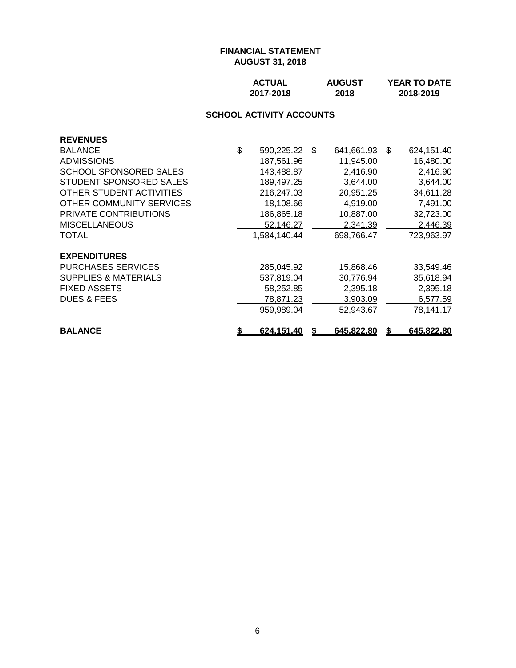| <b>ACTUAL</b> | <b>AUGUST</b> | <b>YEAR TO DATE</b> |
|---------------|---------------|---------------------|
| 2017-2018     | 2018          | 2018-2019           |

# **SCHOOL ACTIVITY ACCOUNTS**

| <b>REVENUES</b>                 |                  |     |            |     |            |
|---------------------------------|------------------|-----|------------|-----|------------|
| <b>BALANCE</b>                  | \$<br>590,225.22 | \$. | 641,661.93 | -SS | 624,151.40 |
| <b>ADMISSIONS</b>               | 187,561.96       |     | 11,945.00  |     | 16,480.00  |
| SCHOOL SPONSORED SALES          | 143,488.87       |     | 2,416.90   |     | 2,416.90   |
| STUDENT SPONSORED SALES         | 189,497.25       |     | 3,644.00   |     | 3,644.00   |
| OTHER STUDENT ACTIVITIES        | 216,247.03       |     | 20,951.25  |     | 34,611.28  |
| OTHER COMMUNITY SERVICES        | 18,108.66        |     | 4,919.00   |     | 7,491.00   |
| PRIVATE CONTRIBUTIONS           | 186,865.18       |     | 10,887.00  |     | 32,723.00  |
| <b>MISCELLANEOUS</b>            | 52,146.27        |     | 2,341.39   |     | 2,446.39   |
| <b>TOTAL</b>                    | 1,584,140.44     |     | 698,766.47 |     | 723,963.97 |
| <b>EXPENDITURES</b>             |                  |     |            |     |            |
| <b>PURCHASES SERVICES</b>       | 285,045.92       |     | 15,868.46  |     | 33,549.46  |
| <b>SUPPLIES &amp; MATERIALS</b> | 537,819.04       |     | 30,776.94  |     | 35,618.94  |
| <b>FIXED ASSETS</b>             | 58,252.85        |     | 2,395.18   |     | 2,395.18   |
| <b>DUES &amp; FEES</b>          | 78,871.23        |     | 3.903.09   |     | 6,577.59   |
|                                 | 959.989.04       |     | 52,943.67  |     | 78,141.17  |
| <b>BALANCE</b>                  | 624,151.40       |     | 645,822.80 |     | 645,822.80 |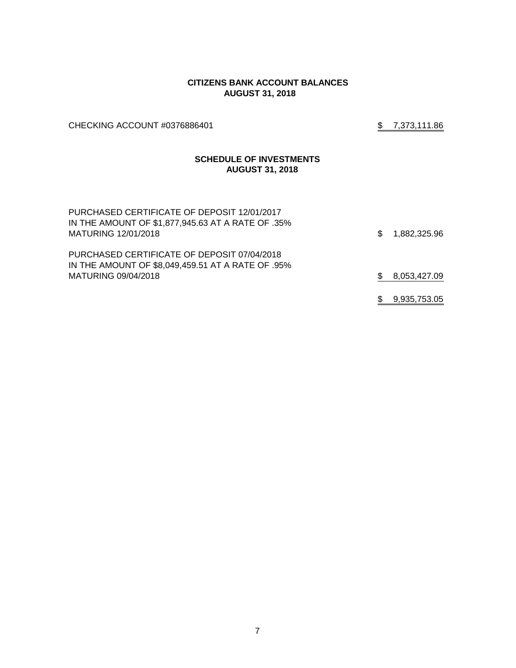#### **CITIZENS BANK ACCOUNT BALANCES AUGUST 31, 2018**

CHECKING ACCOUNT #0376886401 \$7,373,111.86

## **SCHEDULE OF INVESTMENTS AUGUST 31, 2018**

| PURCHASED CERTIFICATE OF DEPOSIT 12/01/2017<br>IN THE AMOUNT OF \$1,877,945.63 AT A RATE OF .35%<br>MATURING 12/01/2018 | \$. | 1,882,325.96 |
|-------------------------------------------------------------------------------------------------------------------------|-----|--------------|
| PURCHASED CERTIFICATE OF DEPOSIT 07/04/2018<br>IN THE AMOUNT OF \$8,049,459.51 AT A RATE OF .95%<br>MATURING 09/04/2018 |     | 8,053,427.09 |
|                                                                                                                         |     | 9,935,753.05 |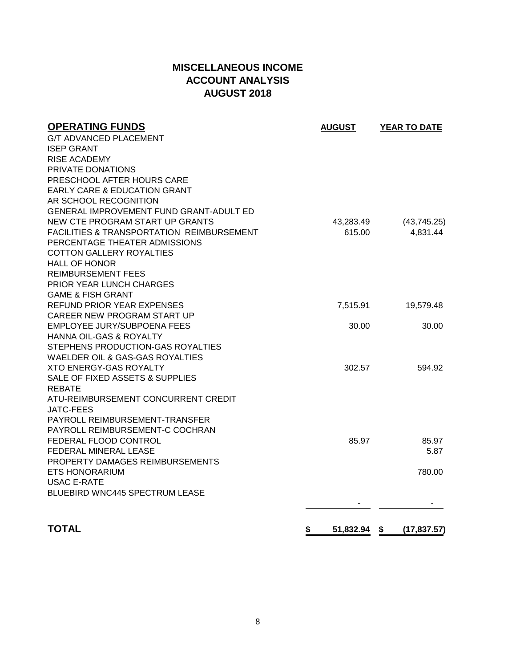# **MISCELLANEOUS INCOME ACCOUNT ANALYSIS AUGUST 2018**

| <b>OPERATING FUNDS</b>                               | <b>AUGUST</b>      | YEAR TO DATE |
|------------------------------------------------------|--------------------|--------------|
| <b>G/T ADVANCED PLACEMENT</b>                        |                    |              |
| <b>ISEP GRANT</b>                                    |                    |              |
| RISE ACADEMY                                         |                    |              |
| PRIVATE DONATIONS                                    |                    |              |
| PRESCHOOL AFTER HOURS CARE                           |                    |              |
| <b>EARLY CARE &amp; EDUCATION GRANT</b>              |                    |              |
| AR SCHOOL RECOGNITION                                |                    |              |
| GENERAL IMPROVEMENT FUND GRANT-ADULT ED              |                    |              |
| NEW CTE PROGRAM START UP GRANTS                      | 43,283.49          | (43,745.25)  |
| <b>FACILITIES &amp; TRANSPORTATION REIMBURSEMENT</b> | 615.00             | 4,831.44     |
| PERCENTAGE THEATER ADMISSIONS                        |                    |              |
| <b>COTTON GALLERY ROYALTIES</b>                      |                    |              |
| <b>HALL OF HONOR</b>                                 |                    |              |
| <b>REIMBURSEMENT FEES</b>                            |                    |              |
| PRIOR YEAR LUNCH CHARGES                             |                    |              |
| <b>GAME &amp; FISH GRANT</b>                         |                    |              |
| REFUND PRIOR YEAR EXPENSES                           | 7,515.91           | 19,579.48    |
| CAREER NEW PROGRAM START UP                          |                    |              |
| EMPLOYEE JURY/SUBPOENA FEES                          | 30.00              | 30.00        |
| <b>HANNA OIL-GAS &amp; ROYALTY</b>                   |                    |              |
| STEPHENS PRODUCTION-GAS ROYALTIES                    |                    |              |
| WAELDER OIL & GAS-GAS ROYALTIES                      |                    |              |
| <b>XTO ENERGY-GAS ROYALTY</b>                        | 302.57             | 594.92       |
| SALE OF FIXED ASSETS & SUPPLIES                      |                    |              |
| <b>REBATE</b>                                        |                    |              |
| ATU-REIMBURSEMENT CONCURRENT CREDIT                  |                    |              |
| JATC-FEES                                            |                    |              |
| PAYROLL REIMBURSEMENT-TRANSFER                       |                    |              |
| PAYROLL REIMBURSEMENT-C COCHRAN                      |                    |              |
| FEDERAL FLOOD CONTROL                                | 85.97              | 85.97        |
| FEDERAL MINERAL LEASE                                |                    | 5.87         |
| PROPERTY DAMAGES REIMBURSEMENTS                      |                    |              |
| <b>ETS HONORARIUM</b>                                |                    | 780.00       |
| <b>USAC E-RATE</b>                                   |                    |              |
| <b>BLUEBIRD WNC445 SPECTRUM LEASE</b>                |                    |              |
|                                                      |                    |              |
| <b>TOTAL</b>                                         | \$<br>51,832.94 \$ | (17, 837.57) |
|                                                      |                    |              |